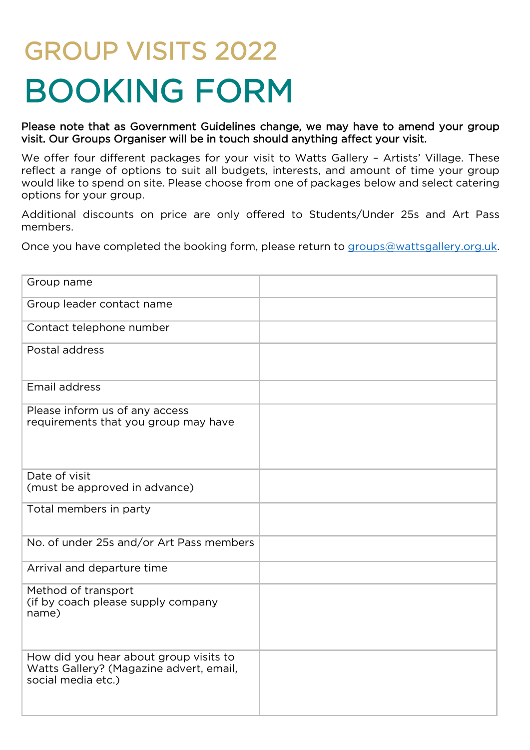# GROUP VISITS 2022 BOOKING FORM

Please note that as Government Guidelines change, we may have to amend your group visit. Our Groups Organiser will be in touch should anything affect your visit.

We offer four different packages for your visit to Watts Gallery - Artists' Village. These reflect a range of options to suit all budgets, interests, and amount of time your group would like to spend on site. Please choose from one of packages below and select catering options for your group.

Additional discounts on price are only offered to Students/Under 25s and Art Pass members.

Once you have completed the booking form, please return to [groups@wattsgallery.org.uk.](mailto:groups@wattsgallery.org.uk)

| Group name                                                                                              |  |
|---------------------------------------------------------------------------------------------------------|--|
| Group leader contact name                                                                               |  |
| Contact telephone number                                                                                |  |
| Postal address                                                                                          |  |
| Email address                                                                                           |  |
| Please inform us of any access<br>requirements that you group may have                                  |  |
| Date of visit<br>(must be approved in advance)                                                          |  |
| Total members in party                                                                                  |  |
| No. of under 25s and/or Art Pass members                                                                |  |
| Arrival and departure time                                                                              |  |
| Method of transport<br>(if by coach please supply company<br>name)                                      |  |
| How did you hear about group visits to<br>Watts Gallery? (Magazine advert, email,<br>social media etc.) |  |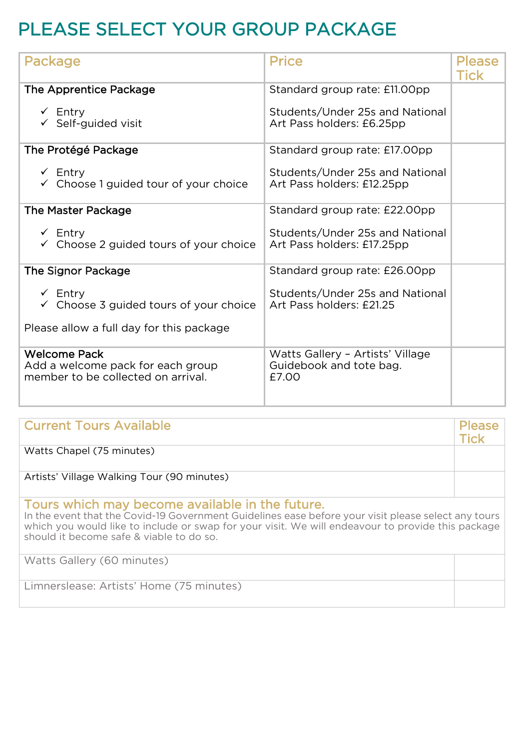## PLEASE SELECT YOUR GROUP PACKAGE

| Package                                                                                                             | <b>Price</b>                                                         | Please<br><b>Tick</b> |
|---------------------------------------------------------------------------------------------------------------------|----------------------------------------------------------------------|-----------------------|
| The Apprentice Package                                                                                              | Standard group rate: £11.00pp                                        |                       |
| $\checkmark$ Entry<br>$\checkmark$ Self-guided visit                                                                | Students/Under 25s and National<br>Art Pass holders: £6.25pp         |                       |
| The Protégé Package                                                                                                 | Standard group rate: £17.00pp                                        |                       |
| $\checkmark$ Entry<br>$\checkmark$ Choose 1 guided tour of your choice                                              | Students/Under 25s and National<br>Art Pass holders: £12.25pp        |                       |
| <b>The Master Package</b>                                                                                           | Standard group rate: £22.00pp                                        |                       |
| $\checkmark$ Entry<br>$\checkmark$ Choose 2 guided tours of your choice                                             | Students/Under 25s and National<br>Art Pass holders: £17.25pp        |                       |
| <b>The Signor Package</b>                                                                                           | Standard group rate: £26.00pp                                        |                       |
| $\checkmark$ Entry<br>$\checkmark$ Choose 3 guided tours of your choice<br>Please allow a full day for this package | Students/Under 25s and National<br>Art Pass holders: £21.25          |                       |
| <b>Welcome Pack</b>                                                                                                 |                                                                      |                       |
| Add a welcome pack for each group<br>member to be collected on arrival.                                             | Watts Gallery - Artists' Village<br>Guidebook and tote bag.<br>£7.00 |                       |

| <b>Current Tours Available</b>                                                                                                                                                                                                                                                                          | <b>Please</b><br>Tick |
|---------------------------------------------------------------------------------------------------------------------------------------------------------------------------------------------------------------------------------------------------------------------------------------------------------|-----------------------|
| Watts Chapel (75 minutes)                                                                                                                                                                                                                                                                               |                       |
| Artists' Village Walking Tour (90 minutes)                                                                                                                                                                                                                                                              |                       |
| Tours which may become available in the future.<br>In the event that the Covid-19 Government Guidelines ease before your visit please select any tours<br>which you would like to include or swap for your visit. We will endeavour to provide this package<br>should it become safe & viable to do so. |                       |
| Watts Gallery (60 minutes)                                                                                                                                                                                                                                                                              |                       |
| Limnerslease: Artists' Home (75 minutes)                                                                                                                                                                                                                                                                |                       |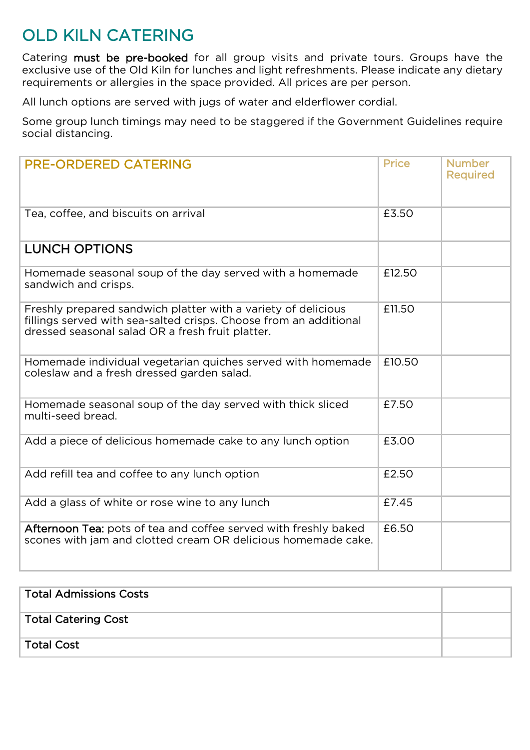## OLD KILN CATERING

Catering must be pre-booked for all group visits and private tours. Groups have the exclusive use of the Old Kiln for lunches and light refreshments. Please indicate any dietary requirements or allergies in the space provided. All prices are per person.

All lunch options are served with jugs of water and elderflower cordial.

Some group lunch timings may need to be staggered if the Government Guidelines require social distancing.

| <b>PRE-ORDERED CATERING</b>                                                                                                                                                            | <b>Price</b> | <b>Number</b><br><b>Required</b> |
|----------------------------------------------------------------------------------------------------------------------------------------------------------------------------------------|--------------|----------------------------------|
| Tea, coffee, and biscuits on arrival                                                                                                                                                   | £3.50        |                                  |
| <b>LUNCH OPTIONS</b>                                                                                                                                                                   |              |                                  |
|                                                                                                                                                                                        |              |                                  |
| Homemade seasonal soup of the day served with a homemade<br>sandwich and crisps.                                                                                                       | £12.50       |                                  |
| Freshly prepared sandwich platter with a variety of delicious<br>fillings served with sea-salted crisps. Choose from an additional<br>dressed seasonal salad OR a fresh fruit platter. | £11.50       |                                  |
| Homemade individual vegetarian quiches served with homemade<br>coleslaw and a fresh dressed garden salad.                                                                              | £10.50       |                                  |
| Homemade seasonal soup of the day served with thick sliced<br>multi-seed bread.                                                                                                        | £7.50        |                                  |
| Add a piece of delicious homemade cake to any lunch option                                                                                                                             | £3.00        |                                  |
| Add refill tea and coffee to any lunch option                                                                                                                                          | £2.50        |                                  |
| Add a glass of white or rose wine to any lunch                                                                                                                                         | £7.45        |                                  |
| Afternoon Tea: pots of tea and coffee served with freshly baked<br>scones with jam and clotted cream OR delicious homemade cake.                                                       | £6.50        |                                  |

| Total Admissions Costs |  |
|------------------------|--|
| Total Catering Cost    |  |
| Total Cost             |  |